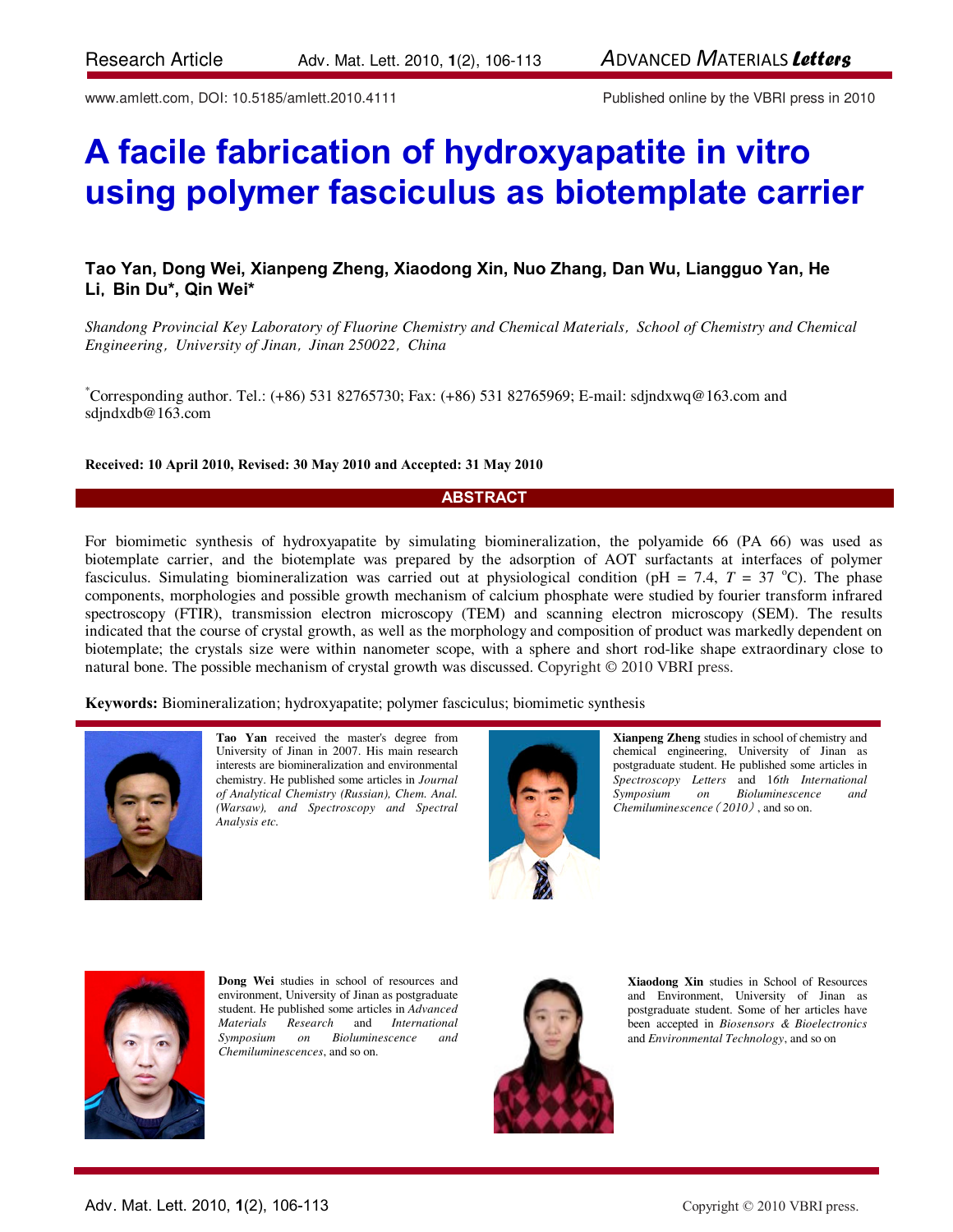www.amlett.com, DOI: 10.5185/amlett.2010.4111 Published online by the VBRI press in 2010

# **A facile fabrication of hydroxyapatite in vitro using polymer fasciculus as biotemplate carrier**

# **Tao Yan, Dong Wei, Xianpeng Zheng, Xiaodong Xin, Nuo Zhang, Dan Wu, Liangguo Yan, He Li**,**Bin Du\*, Qin Wei\***

*Shandong Provincial Key Laboratory of Fluorine Chemistry and Chemical Materials*,*School of Chemistry and Chemical Engineering*, , *University of Jinan Jinan 250022*,*China* 

\*Corresponding author. Tel.: (+86) 531 82765730; Fax: (+86) 531 82765969; E-mail: sdjndxwq@163.com and sdjndxdb@163.com

#### **Received: 10 April 2010, Revised: 30 May 2010 and Accepted: 31 May 2010**

#### **ABSTRACT**

For biomimetic synthesis of hydroxyapatite by simulating biomineralization, the polyamide 66 (PA 66) was used as biotemplate carrier, and the biotemplate was prepared by the adsorption of AOT surfactants at interfaces of polymer fasciculus. Simulating biomineralization was carried out at physiological condition (pH = 7.4,  $T = 37 \degree C$ ). The phase components, morphologies and possible growth mechanism of calcium phosphate were studied by fourier transform infrared spectroscopy (FTIR), transmission electron microscopy (TEM) and scanning electron microscopy (SEM). The results indicated that the course of crystal growth, as well as the morphology and composition of product was markedly dependent on biotemplate; the crystals size were within nanometer scope, with a sphere and short rod-like shape extraordinary close to natural bone. The possible mechanism of crystal growth was discussed. Copyright © 2010 VBRI press.

**Keywords:** Biomineralization; hydroxyapatite; polymer fasciculus; biomimetic synthesis



**Tao Yan** received the master's degree from University of Jinan in 2007. His main research interests are biomineralization and environmental chemistry. He published some articles in *Journal of Analytical Chemistry (Russian), Chem. Anal. (Warsaw), and Spectroscopy and Spectral Analysis etc.*



**Xianpeng Zheng** studies in school of chemistry and chemical engineering, University of Jinan as postgraduate student. He published some articles in *Spectroscopy Letters* and 1*6th International Symposium on Bioluminescence and Chemiluminescence*( *2010*) , and so on.



**Dong Wei** studies in school of resources and environment, University of Jinan as postgraduate student. He published some articles in *Advanced Materials Research* and *International Symposium on Bioluminescence and Chemiluminescences*, and so on.



**Xiaodong Xin** studies in School of Resources and Environment, University of Jinan as postgraduate student. Some of her articles have been accepted in *Biosensors & Bioelectronics* and *Environmental Technology*, and so on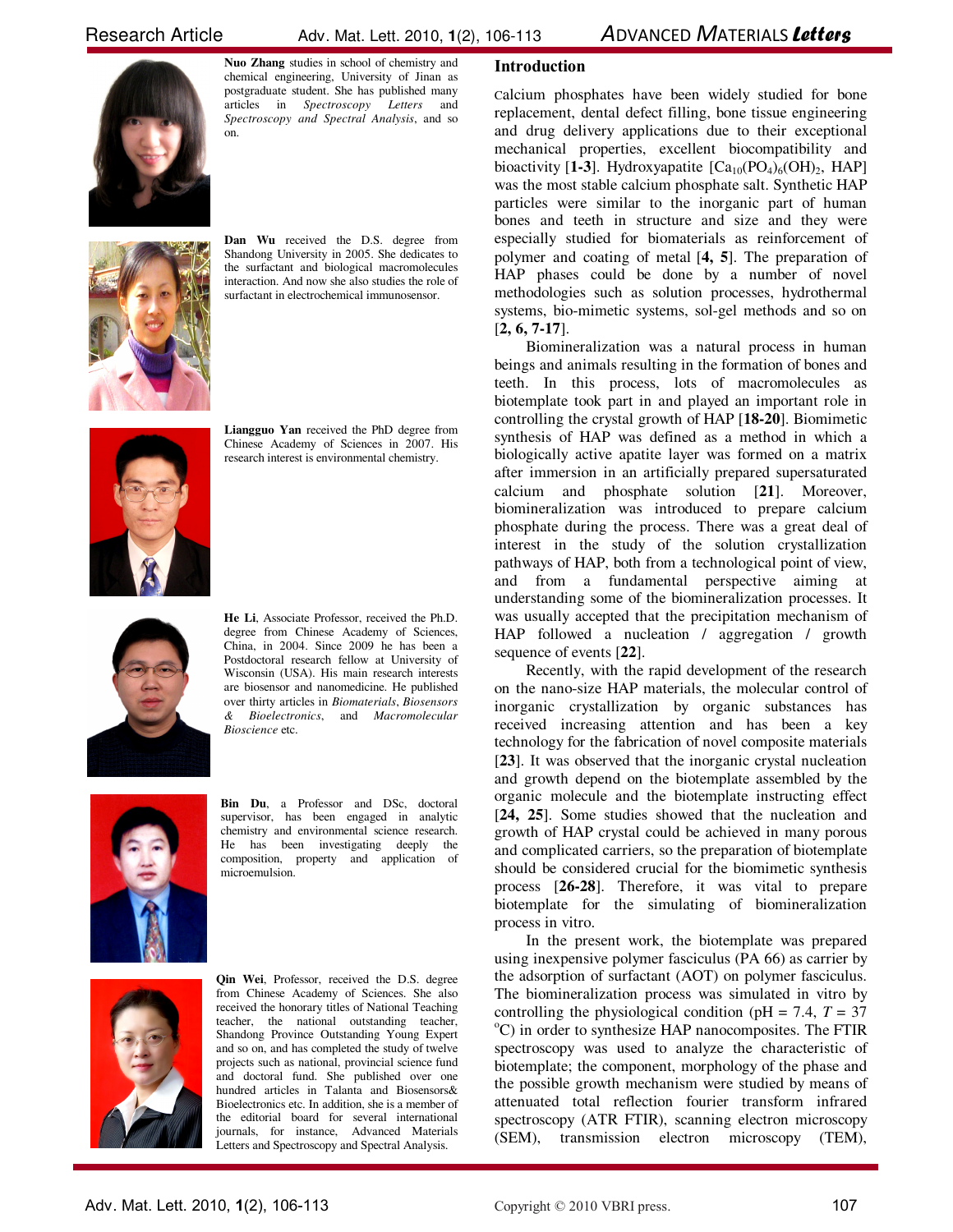Research Article  $\frac{1}{2}$  Adv. Mat. Lett. 2010, **1**(2), 106-113 *ADVANCED MATERIALS Letters* 



**Nuo Zhang** studies in school of chemistry and chemical engineering, University of Jinan as postgraduate student. She has published many articles in *Spectroscopy Letters* and *Spectroscopy and Spectral Analysis*, and so on.



**Dan Wu** received the D.S. degree from Shandong University in 2005. She dedicates to the surfactant and biological macromolecules interaction. And now she also studies the role of surfactant in electrochemical immunosensor.



**Liangguo Yan** received the PhD degree from Chinese Academy of Sciences in 2007. His research interest is environmental chemistry.



**He Li**, Associate Professor, received the Ph.D. degree from Chinese Academy of Sciences, China, in 2004. Since 2009 he has been a Postdoctoral research fellow at University of Wisconsin (USA). His main research interests are biosensor and nanomedicine. He published over thirty articles in *Biomaterials*, *Biosensors & Bioelectronics*, and *Macromolecular Bioscience* etc.



**Bin Du**, a Professor and DSc, doctoral supervisor, has been engaged in analytic chemistry and environmental science research. He has been investigating deeply the composition, property and application of microemulsion.



**Qin Wei**, Professor, received the D.S. degree from Chinese Academy of Sciences. She also received the honorary titles of National Teaching teacher, the national outstanding teacher, Shandong Province Outstanding Young Expert and so on, and has completed the study of twelve projects such as national, provincial science fund and doctoral fund. She published over one hundred articles in Talanta and Biosensors& Bioelectronics etc. In addition, she is a member of the editorial board for several international journals, for instance, Advanced Materials Letters and Spectroscopy and Spectral Analysis.

# **Introduction**

Calcium phosphates have been widely studied for bone replacement, dental defect filling, bone tissue engineering and drug delivery applications due to their exceptional mechanical properties, excellent biocompatibility and bioactivity [1-3]. Hydroxyapatite  $[Ca_{10}(PO_4)_6(OH)_2, HAP]$ was the most stable calcium phosphate salt. Synthetic HAP particles were similar to the inorganic part of human bones and teeth in structure and size and they were especially studied for biomaterials as reinforcement of polymer and coating of metal [**4, 5**]. The preparation of HAP phases could be done by a number of novel methodologies such as solution processes, hydrothermal systems, bio-mimetic systems, sol-gel methods and so on [**2, 6, 7-17**].

 Biomineralization was a natural process in human beings and animals resulting in the formation of bones and teeth. In this process, lots of macromolecules as biotemplate took part in and played an important role in controlling the crystal growth of HAP [**18-20**]. Biomimetic synthesis of HAP was defined as a method in which a biologically active apatite layer was formed on a matrix after immersion in an artificially prepared supersaturated calcium and phosphate solution [**21**]. Moreover, biomineralization was introduced to prepare calcium phosphate during the process. There was a great deal of interest in the study of the solution crystallization pathways of HAP, both from a technological point of view, and from a fundamental perspective aiming at understanding some of the biomineralization processes. It was usually accepted that the precipitation mechanism of HAP followed a nucleation / aggregation / growth sequence of events [**22**].

 Recently, with the rapid development of the research on the nano-size HAP materials, the molecular control of inorganic crystallization by organic substances has received increasing attention and has been a key technology for the fabrication of novel composite materials [**23**]. It was observed that the inorganic crystal nucleation and growth depend on the biotemplate assembled by the organic molecule and the biotemplate instructing effect [**24, 25**]. Some studies showed that the nucleation and growth of HAP crystal could be achieved in many porous and complicated carriers, so the preparation of biotemplate should be considered crucial for the biomimetic synthesis process [**26-28**]. Therefore, it was vital to prepare biotemplate for the simulating of biomineralization process in vitro.

 In the present work, the biotemplate was prepared using inexpensive polymer fasciculus (PA 66) as carrier by the adsorption of surfactant (AOT) on polymer fasciculus. The biomineralization process was simulated in vitro by controlling the physiological condition (pH = 7.4,  $T = 37$ )  $^{\circ}$ C) in order to synthesize HAP nanocomposites. The FTIR spectroscopy was used to analyze the characteristic of biotemplate; the component, morphology of the phase and the possible growth mechanism were studied by means of attenuated total reflection fourier transform infrared spectroscopy (ATR FTIR), scanning electron microscopy (SEM), transmission electron microscopy (TEM),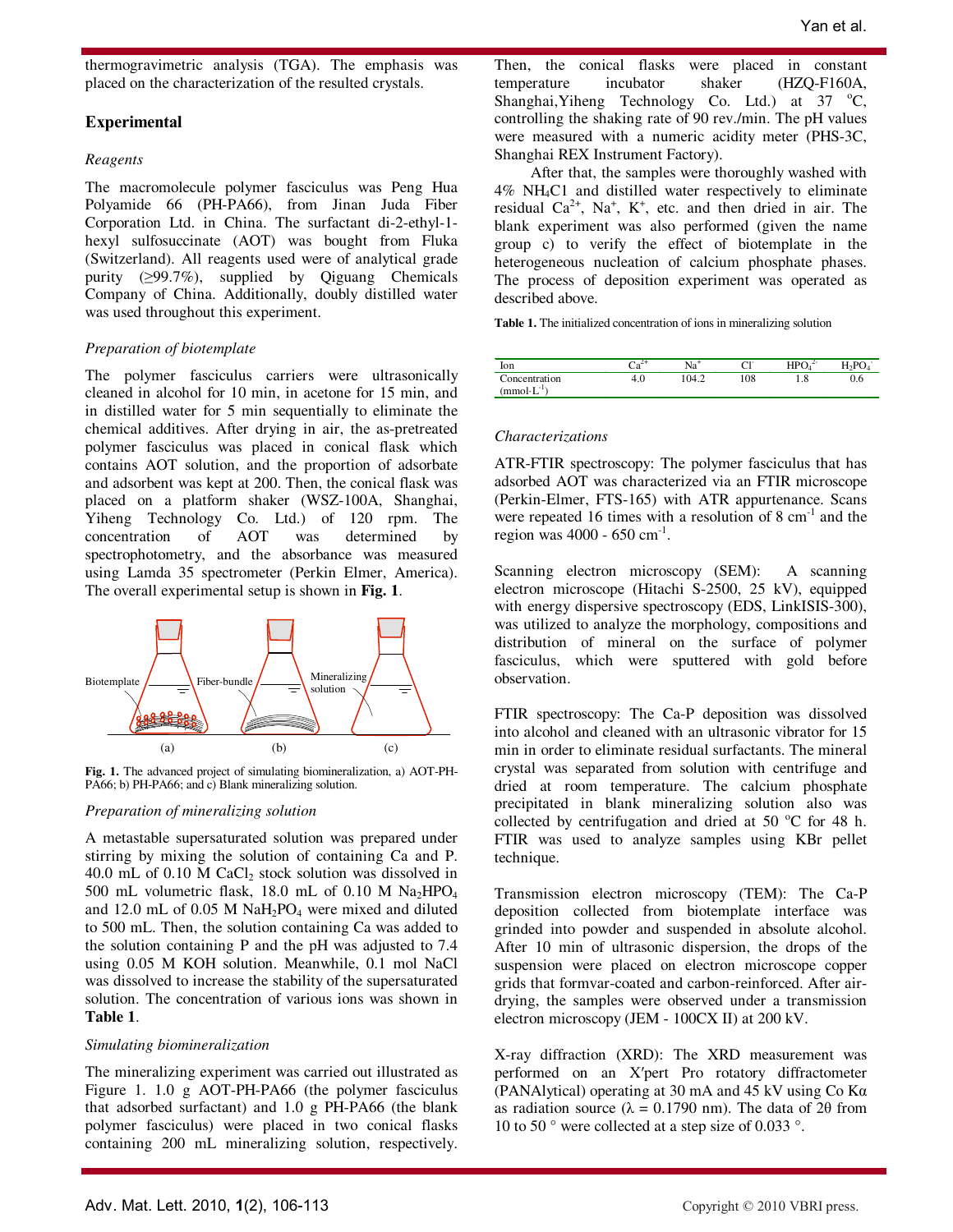thermogravimetric analysis (TGA). The emphasis was placed on the characterization of the resulted crystals.

## **Experimental**

### *Reagents*

The macromolecule polymer fasciculus was Peng Hua Polyamide 66 (PH-PA66), from Jinan Juda Fiber Corporation Ltd. in China. The surfactant di-2-ethyl-1 hexyl sulfosuccinate (AOT) was bought from Fluka (Switzerland). All reagents used were of analytical grade purity (≥99.7%), supplied by Qiguang Chemicals Company of China. Additionally, doubly distilled water was used throughout this experiment.

### *Preparation of biotemplate*

The polymer fasciculus carriers were ultrasonically cleaned in alcohol for 10 min, in acetone for 15 min, and in distilled water for 5 min sequentially to eliminate the chemical additives. After drying in air, the as-pretreated polymer fasciculus was placed in conical flask which contains AOT solution, and the proportion of adsorbate and adsorbent was kept at 200. Then, the conical flask was placed on a platform shaker (WSZ-100A, Shanghai, Yiheng Technology Co. Ltd.) of 120 rpm. The concentration of AOT was determined by spectrophotometry, and the absorbance was measured using Lamda 35 spectrometer (Perkin Elmer, America). The overall experimental setup is shown in **Fig. 1**.



**Fig. 1.** The advanced project of simulating biomineralization, a) AOT-PH-PA66; b) PH-PA66; and c) Blank mineralizing solution.

#### *Preparation of mineralizing solution*

A metastable supersaturated solution was prepared under stirring by mixing the solution of containing Ca and P. 40.0 mL of 0.10 M CaCl<sub>2</sub> stock solution was dissolved in 500 mL volumetric flask, 18.0 mL of 0.10 M  $\text{Na}_2\text{HPO}_4$ and 12.0 mL of 0.05 M  $NaH<sub>2</sub>PO<sub>4</sub>$  were mixed and diluted to 500 mL. Then, the solution containing Ca was added to the solution containing P and the pH was adjusted to 7.4 using 0.05 M KOH solution. Meanwhile, 0.1 mol NaCl was dissolved to increase the stability of the supersaturated solution. The concentration of various ions was shown in **Table 1**.

#### *Simulating biomineralization*

The mineralizing experiment was carried out illustrated as Figure 1. 1.0 g AOT-PH-PA66 (the polymer fasciculus that adsorbed surfactant) and 1.0 g PH-PA66 (the blank polymer fasciculus) were placed in two conical flasks containing 200 mL mineralizing solution, respectively.

Then, the conical flasks were placed in constant temperature incubator shaker (HZQ-F160A, Shanghai, Yiheng Technology Co. Ltd.) at  $37 \text{ °C}$ , controlling the shaking rate of 90 rev./min. The pH values were measured with a numeric acidity meter (PHS-3C, Shanghai REX Instrument Factory).

 After that, the samples were thoroughly washed with 4% NH4C1 and distilled water respectively to eliminate residual  $Ca^{2+}$ , Na<sup>+</sup>, K<sup>+</sup>, etc. and then dried in air. The blank experiment was also performed (given the name group c) to verify the effect of biotemplate in the heterogeneous nucleation of calcium phosphate phases. The process of deposition experiment was operated as described above.

**Table 1.** The initialized concentration of ions in mineralizing solution

| lon             |     | Na    | ີ   | LDC<br><br>◡ | 71  |
|-----------------|-----|-------|-----|--------------|-----|
| Concentration   | 4.V | 104.2 | 108 | 1.0          | U.O |
| $\pmod{L^{-1}}$ |     |       |     |              |     |

#### *Characterizations*

ATR-FTIR spectroscopy: The polymer fasciculus that has adsorbed AOT was characterized via an FTIR microscope (Perkin-Elmer, FTS-165) with ATR appurtenance. Scans were repeated 16 times with a resolution of 8  $cm^{-1}$  and the region was  $4000 - 650$  cm<sup>-1</sup>.

Scanning electron microscopy (SEM): A scanning electron microscope (Hitachi S-2500, 25 kV), equipped with energy dispersive spectroscopy (EDS, LinkISIS-300), was utilized to analyze the morphology, compositions and distribution of mineral on the surface of polymer fasciculus, which were sputtered with gold before observation.

FTIR spectroscopy: The Ca-P deposition was dissolved into alcohol and cleaned with an ultrasonic vibrator for 15 min in order to eliminate residual surfactants. The mineral crystal was separated from solution with centrifuge and dried at room temperature. The calcium phosphate precipitated in blank mineralizing solution also was collected by centrifugation and dried at 50  $^{\circ}$ C for 48 h. FTIR was used to analyze samples using KBr pellet technique.

Transmission electron microscopy (TEM): The Ca-P deposition collected from biotemplate interface was grinded into powder and suspended in absolute alcohol. After 10 min of ultrasonic dispersion, the drops of the suspension were placed on electron microscope copper grids that formvar-coated and carbon-reinforced. After airdrying, the samples were observed under a transmission electron microscopy (JEM - 100CX II) at 200 kV.

X-ray diffraction (XRD): The XRD measurement was performed on an X′pert Pro rotatory diffractometer (PANAlytical) operating at 30 mA and 45 kV using Co Kα as radiation source ( $\lambda = 0.1790$  nm). The data of 20 from 10 to 50 ° were collected at a step size of 0.033 °.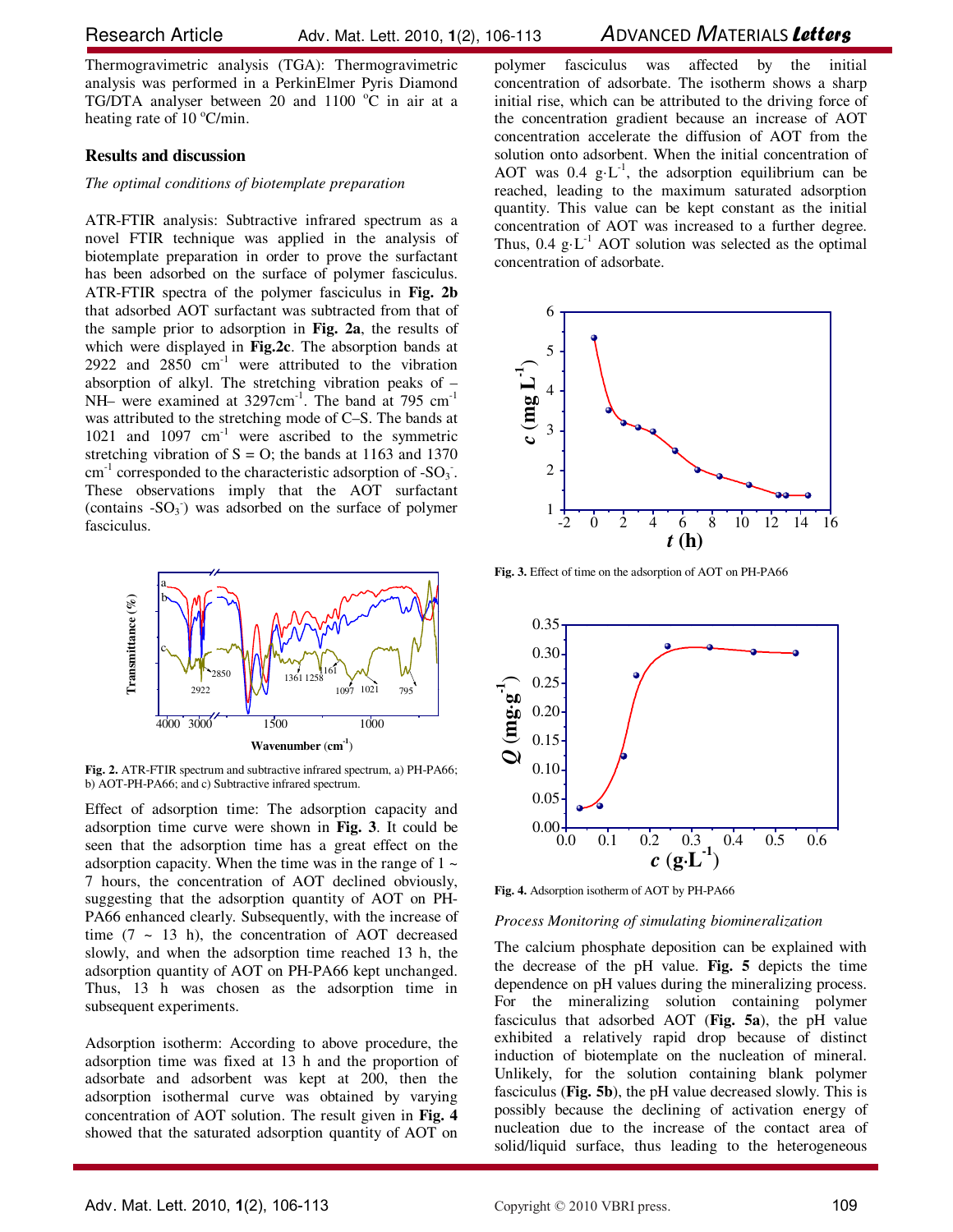Thermogravimetric analysis (TGA): Thermogravimetric analysis was performed in a PerkinElmer Pyris Diamond TG/DTA analyser between 20 and 1100  $^{\circ}$ C in air at a heating rate of 10  $\degree$ C/min.

#### **Results and discussion**

#### *The optimal conditions of biotemplate preparation*

ATR-FTIR analysis: Subtractive infrared spectrum as a novel FTIR technique was applied in the analysis of biotemplate preparation in order to prove the surfactant has been adsorbed on the surface of polymer fasciculus. ATR-FTIR spectra of the polymer fasciculus in **Fig. 2b** that adsorbed AOT surfactant was subtracted from that of the sample prior to adsorption in **Fig. 2a**, the results of which were displayed in **Fig.2c**. The absorption bands at 2922 and  $2850 \text{ cm}^{-1}$  were attributed to the vibration absorption of alkyl. The stretching vibration peaks of – NH– were examined at 3297cm<sup>-1</sup>. The band at 795 cm<sup>-1</sup> was attributed to the stretching mode of C–S. The bands at 1021 and 1097 cm<sup>-1</sup> were ascribed to the symmetric stretching vibration of  $S = O$ ; the bands at 1163 and 1370 cm<sup>-1</sup> corresponded to the characteristic adsorption of -SO<sub>3</sub>. These observations imply that the AOT surfactant (contains  $-SO_3$ ) was adsorbed on the surface of polymer fasciculus.



**Fig. 2.** ATR-FTIR spectrum and subtractive infrared spectrum, a) PH-PA66; b) AOT-PH-PA66; and c) Subtractive infrared spectrum.

Effect of adsorption time: The adsorption capacity and adsorption time curve were shown in **Fig. 3**. It could be seen that the adsorption time has a great effect on the adsorption capacity. When the time was in the range of  $1 \sim$ 7 hours, the concentration of AOT declined obviously, suggesting that the adsorption quantity of AOT on PH-PA66 enhanced clearly. Subsequently, with the increase of time  $(7 \sim 13 \text{ h})$ , the concentration of AOT decreased slowly, and when the adsorption time reached 13 h, the adsorption quantity of AOT on PH-PA66 kept unchanged. Thus, 13 h was chosen as the adsorption time in subsequent experiments.

Adsorption isotherm: According to above procedure, the adsorption time was fixed at 13 h and the proportion of adsorbate and adsorbent was kept at 200, then the adsorption isothermal curve was obtained by varying concentration of AOT solution. The result given in **Fig. 4** showed that the saturated adsorption quantity of AOT on

polymer fasciculus was affected by the initial concentration of adsorbate. The isotherm shows a sharp initial rise, which can be attributed to the driving force of the concentration gradient because an increase of AOT concentration accelerate the diffusion of AOT from the solution onto adsorbent. When the initial concentration of AOT was 0.4  $g\text{-}L^{-1}$ , the adsorption equilibrium can be reached, leading to the maximum saturated adsorption quantity. This value can be kept constant as the initial concentration of AOT was increased to a further degree. Thus,  $0.4 \text{ g} \cdot L^{-1}$  AOT solution was selected as the optimal concentration of adsorbate.



**Fig. 3.** Effect of time on the adsorption of AOT on PH-PA66



**Fig. 4.** Adsorption isotherm of AOT by PH-PA66

#### *Process Monitoring of simulating biomineralization*

The calcium phosphate deposition can be explained with the decrease of the pH value. **Fig. 5** depicts the time dependence on pH values during the mineralizing process. For the mineralizing solution containing polymer fasciculus that adsorbed AOT (**Fig. 5a**), the pH value exhibited a relatively rapid drop because of distinct induction of biotemplate on the nucleation of mineral. Unlikely, for the solution containing blank polymer fasciculus (**Fig. 5b**), the pH value decreased slowly. This is possibly because the declining of activation energy of nucleation due to the increase of the contact area of solid/liquid surface, thus leading to the heterogeneous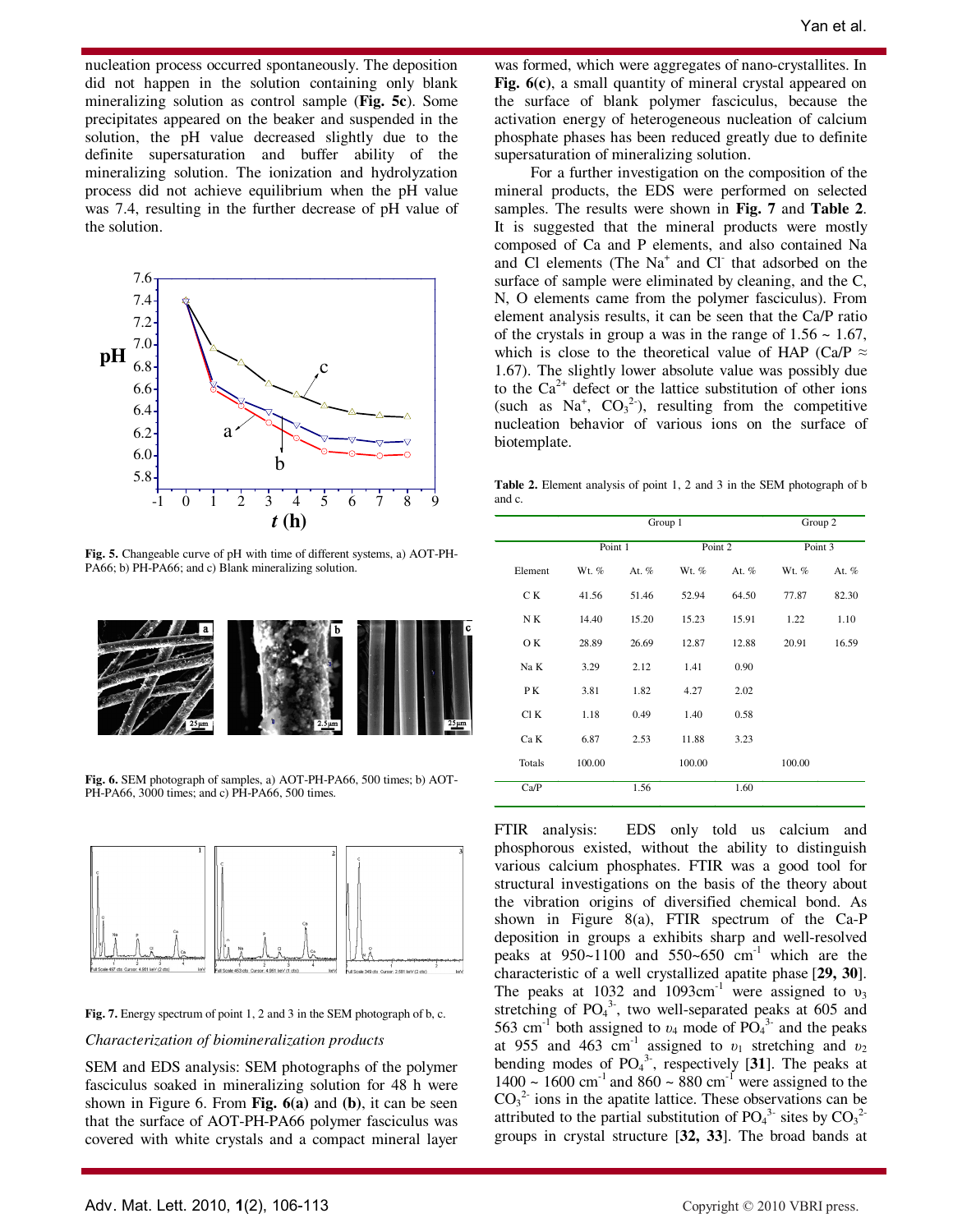nucleation process occurred spontaneously. The deposition did not happen in the solution containing only blank mineralizing solution as control sample (**Fig. 5c**). Some precipitates appeared on the beaker and suspended in the solution, the pH value decreased slightly due to the definite supersaturation and buffer ability of the mineralizing solution. The ionization and hydrolyzation process did not achieve equilibrium when the pH value was 7.4, resulting in the further decrease of pH value of the solution.



**Fig. 5.** Changeable curve of pH with time of different systems, a) AOT-PH-PA66; b) PH-PA66; and c) Blank mineralizing solution.



**Fig. 6.** SEM photograph of samples, a) AOT-PH-PA66, 500 times; b) AOT-PH-PA66, 3000 times; and c) PH-PA66, 500 times.



**Fig. 7.** Energy spectrum of point 1, 2 and 3 in the SEM photograph of b, c.

#### *Characterization of biomineralization products*

SEM and EDS analysis: SEM photographs of the polymer fasciculus soaked in mineralizing solution for 48 h were shown in Figure 6. From **Fig. 6(a)** and **(b)**, it can be seen that the surface of AOT-PH-PA66 polymer fasciculus was covered with white crystals and a compact mineral layer

was formed, which were aggregates of nano-crystallites. In **Fig. 6(c)**, a small quantity of mineral crystal appeared on the surface of blank polymer fasciculus, because the activation energy of heterogeneous nucleation of calcium phosphate phases has been reduced greatly due to definite supersaturation of mineralizing solution.

 For a further investigation on the composition of the mineral products, the EDS were performed on selected samples. The results were shown in **Fig. 7** and **Table 2**. It is suggested that the mineral products were mostly composed of Ca and P elements, and also contained Na and Cl elements (The Na<sup>+</sup> and Cl that adsorbed on the surface of sample were eliminated by cleaning, and the C, N, O elements came from the polymer fasciculus). From element analysis results, it can be seen that the Ca/P ratio of the crystals in group a was in the range of  $1.56 \sim 1.67$ , which is close to the theoretical value of HAP (Ca/P  $\approx$ 1.67). The slightly lower absolute value was possibly due to the  $Ca^{2+}$  defect or the lattice substitution of other ions (such as  $Na^+$ ,  $CO_3^2$ ), resulting from the competitive nucleation behavior of various ions on the surface of biotemplate.

**Table 2.** Element analysis of point 1, 2 and 3 in the SEM photograph of b and c.

|         |         | Group 1 | Group 2 |       |         |       |
|---------|---------|---------|---------|-------|---------|-------|
|         | Point 1 |         | Point 2 |       | Point 3 |       |
| Element | Wt. %   | At. %   | Wt. %   | At. % | Wt. %   | At. % |
| C K     | 41.56   | 51.46   | 52.94   | 64.50 | 77.87   | 82.30 |
| N K     | 14.40   | 15.20   | 15.23   | 15.91 | 1.22    | 1.10  |
| O K     | 28.89   | 26.69   | 12.87   | 12.88 | 20.91   | 16.59 |
| Na K    | 3.29    | 2.12    | 1.41    | 0.90  |         |       |
| PK      | 3.81    | 1.82    | 4.27    | 2.02  |         |       |
| Cl K    | 1.18    | 0.49    | 1.40    | 0.58  |         |       |
| Ca K    | 6.87    | 2.53    | 11.88   | 3.23  |         |       |
| Totals  | 100.00  |         | 100.00  |       | 100.00  |       |
| Ca/P    |         | 1.56    |         | 1.60  |         |       |

FTIR analysis: EDS only told us calcium and phosphorous existed, without the ability to distinguish various calcium phosphates. FTIR was a good tool for structural investigations on the basis of the theory about the vibration origins of diversified chemical bond. As shown in Figure 8(a), FTIR spectrum of the Ca-P deposition in groups a exhibits sharp and well-resolved peaks at  $950~1100$  and  $550~650$  cm<sup>-1</sup> which are the characteristic of a well crystallized apatite phase [**29, 30**]. The peaks at 1032 and 1093cm<sup>-1</sup> were assigned to  $v_3$ stretching of  $PO<sub>4</sub><sup>3</sup>$ , two well-separated peaks at 605 and 563 cm<sup>-1</sup> both assigned to  $v_4$  mode of PO<sub>4</sub><sup>3</sup> and the peaks at 955 and 463 cm<sup>-1</sup> assigned to  $v_1$  stretching and  $v_2$ bending modes of  $PO<sub>4</sub><sup>3</sup>$ , respectively [31]. The peaks at  $1400 \sim 1600 \text{ cm}^{-1}$  and  $860 \sim 880 \text{ cm}^{-1}$  were assigned to the  $CO<sub>3</sub><sup>2</sup>$  ions in the apatite lattice. These observations can be attributed to the partial substitution of  $PO_4^3$  sites by  $CO_3^3$ groups in crystal structure [**32, 33**]. The broad bands at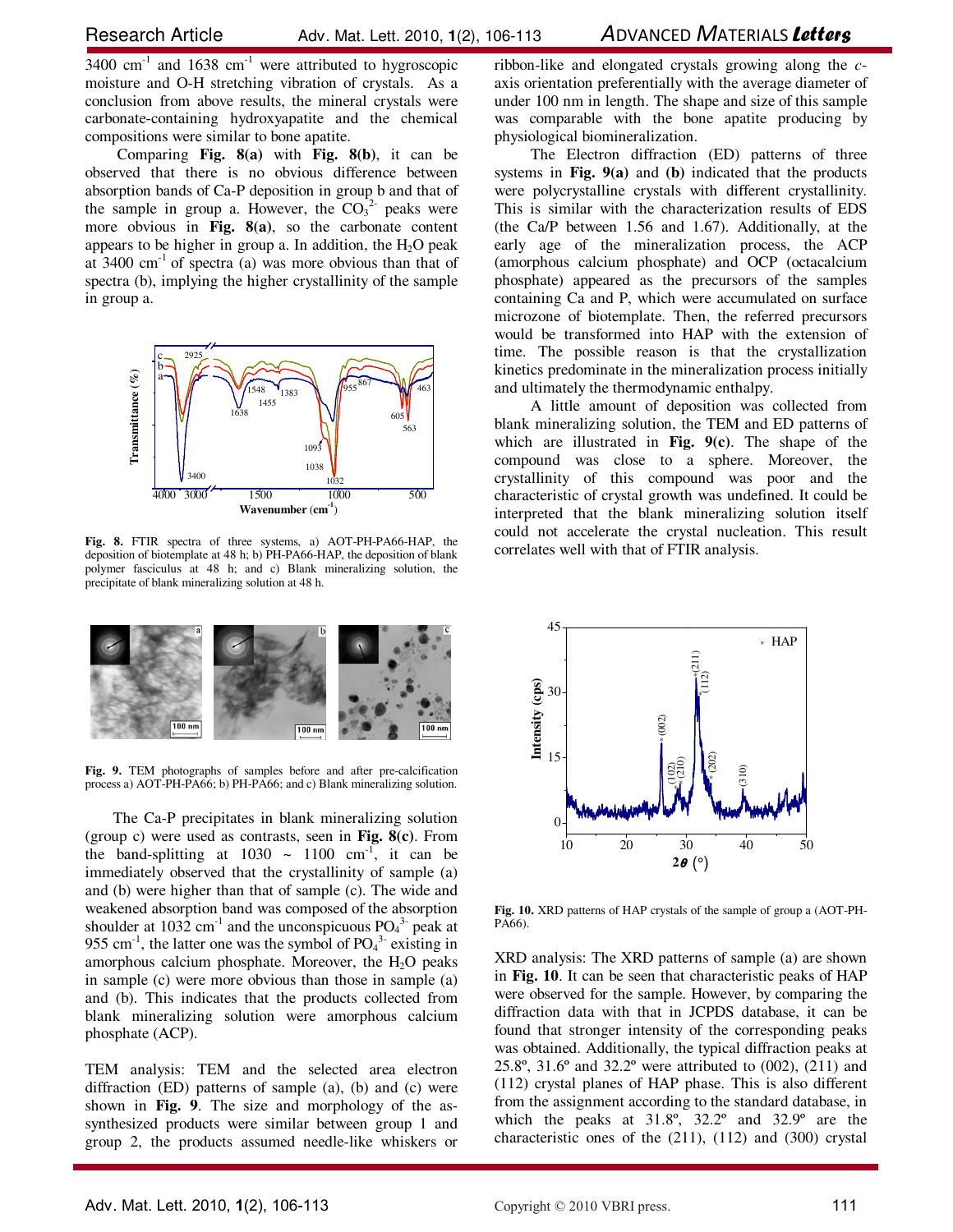$3400 \text{ cm}^{-1}$  and  $1638 \text{ cm}^{-1}$  were attributed to hygroscopic moisture and O-H stretching vibration of crystals. As a conclusion from above results, the mineral crystals were carbonate-containing hydroxyapatite and the chemical compositions were similar to bone apatite.

 Comparing **Fig. 8(a)** with **Fig. 8(b)**, it can be observed that there is no obvious difference between absorption bands of Ca-P deposition in group b and that of the sample in group a. However, the  $CO_3^2$  peaks were more obvious in **Fig. 8(a)**, so the carbonate content appears to be higher in group a. In addition, the  $H_2O$  peak at  $3400 \text{ cm}^{-1}$  of spectra (a) was more obvious than that of spectra (b), implying the higher crystallinity of the sample in group a.



**Fig. 8.** FTIR spectra of three systems, a) AOT-PH-PA66-HAP, the deposition of biotemplate at 48 h; b) PH-PA66-HAP, the deposition of blank polymer fasciculus at 48 h; and c) Blank mineralizing solution, the precipitate of blank mineralizing solution at 48 h.



**Fig. 9.** TEM photographs of samples before and after pre-calcification process a) AOT-PH-PA66; b) PH-PA66; and c) Blank mineralizing solution.

The Ca-P precipitates in blank mineralizing solution (group c) were used as contrasts, seen in **Fig. 8(c)**. From the band-splitting at  $1030 \sim 1100 \text{ cm}^{-1}$ , it can be immediately observed that the crystallinity of sample (a) and (b) were higher than that of sample (c). The wide and weakened absorption band was composed of the absorption shoulder at 1032 cm<sup>-1</sup> and the unconspicuous  $PO_4^3$  peak at 955 cm<sup>-1</sup>, the latter one was the symbol of  $PO<sub>4</sub><sup>3</sup>$  existing in amorphous calcium phosphate. Moreover, the  $H_2O$  peaks in sample (c) were more obvious than those in sample (a) and (b). This indicates that the products collected from blank mineralizing solution were amorphous calcium phosphate (ACP).

TEM analysis: TEM and the selected area electron diffraction (ED) patterns of sample (a), (b) and (c) were shown in **Fig. 9**. The size and morphology of the assynthesized products were similar between group 1 and group 2, the products assumed needle-like whiskers or ribbon-like and elongated crystals growing along the *c*axis orientation preferentially with the average diameter of under 100 nm in length. The shape and size of this sample was comparable with the bone apatite producing by physiological biomineralization.

 The Electron diffraction (ED) patterns of three systems in **Fig. 9(a)** and **(b)** indicated that the products were polycrystalline crystals with different crystallinity. This is similar with the characterization results of EDS (the Ca/P between 1.56 and 1.67). Additionally, at the early age of the mineralization process, the ACP (amorphous calcium phosphate) and OCP (octacalcium phosphate) appeared as the precursors of the samples containing Ca and P, which were accumulated on surface microzone of biotemplate. Then, the referred precursors would be transformed into HAP with the extension of time. The possible reason is that the crystallization kinetics predominate in the mineralization process initially and ultimately the thermodynamic enthalpy.

 A little amount of deposition was collected from blank mineralizing solution, the TEM and ED patterns of which are illustrated in **Fig. 9(c)**. The shape of the compound was close to a sphere. Moreover, the crystallinity of this compound was poor and the characteristic of crystal growth was undefined. It could be interpreted that the blank mineralizing solution itself could not accelerate the crystal nucleation. This result correlates well with that of FTIR analysis.



**Fig. 10.** XRD patterns of HAP crystals of the sample of group a (AOT-PH-PA66).

XRD analysis: The XRD patterns of sample (a) are shown in **Fig. 10**. It can be seen that characteristic peaks of HAP were observed for the sample. However, by comparing the diffraction data with that in JCPDS database, it can be found that stronger intensity of the corresponding peaks was obtained. Additionally, the typical diffraction peaks at 25.8º, 31.6º and 32.2º were attributed to (002), (211) and (112) crystal planes of HAP phase. This is also different from the assignment according to the standard database, in which the peaks at 31.8º, 32.2º and 32.9º are the characteristic ones of the (211), (112) and (300) crystal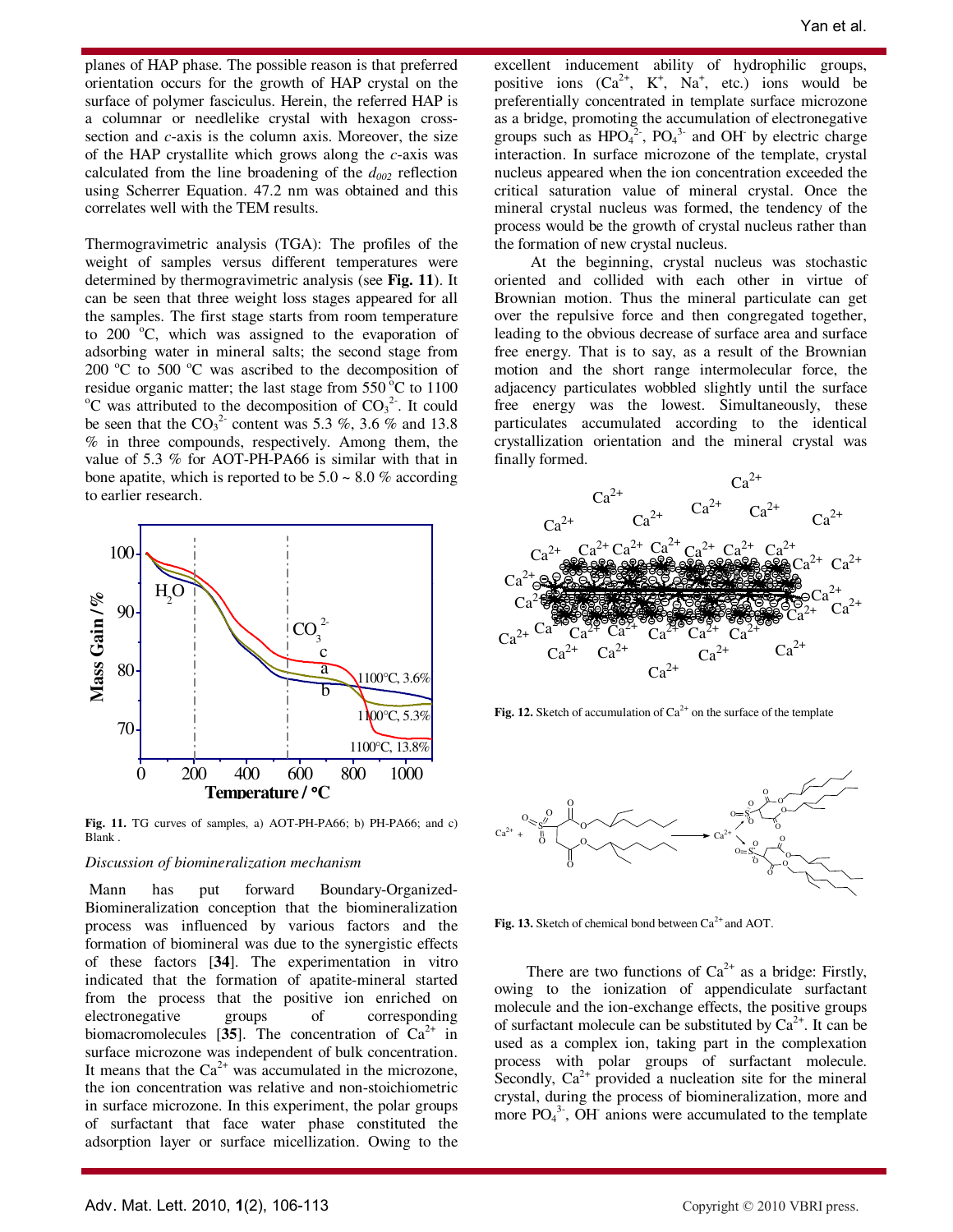planes of HAP phase. The possible reason is that preferred orientation occurs for the growth of HAP crystal on the surface of polymer fasciculus. Herein, the referred HAP is a columnar or needlelike crystal with hexagon crosssection and *c*-axis is the column axis. Moreover, the size of the HAP crystallite which grows along the *c*-axis was calculated from the line broadening of the *d<sup>002</sup>* reflection using Scherrer Equation. 47.2 nm was obtained and this correlates well with the TEM results.

Thermogravimetric analysis (TGA): The profiles of the weight of samples versus different temperatures were determined by thermogravimetric analysis (see **Fig. 11**). It can be seen that three weight loss stages appeared for all the samples. The first stage starts from room temperature to 200  $^{\circ}$ C, which was assigned to the evaporation of adsorbing water in mineral salts; the second stage from 200 $^{\circ}$ C to 500 $^{\circ}$ C was ascribed to the decomposition of residue organic matter; the last stage from  $550\,^{\circ}\text{C}$  to  $1100$  $^{\circ}$ C was attributed to the decomposition of CO<sub>3</sub><sup>2</sup>. It could be seen that the  $CO<sub>3</sub><sup>2</sup>$  content was 5.3 %, 3.6 % and 13.8 % in three compounds, respectively. Among them, the value of 5.3 % for AOT-PH-PA66 is similar with that in bone apatite, which is reported to be  $5.0 \sim 8.0 \%$  according to earlier research.



**Fig. 11.** TG curves of samples, a) AOT-PH-PA66; b) PH-PA66; and c) Blank .

#### *Discussion of biomineralization mechanism*

 Mann has put forward Boundary-Organized-Biomineralization conception that the biomineralization process was influenced by various factors and the formation of biomineral was due to the synergistic effects of these factors [**34**]. The experimentation in vitro indicated that the formation of apatite-mineral started from the process that the positive ion enriched on electronegative groups of corresponding biomacromolecules [35]. The concentration of  $Ca^{2+}$  in surface microzone was independent of bulk concentration. It means that the  $Ca^{2+}$  was accumulated in the microzone, the ion concentration was relative and non-stoichiometric in surface microzone. In this experiment, the polar groups of surfactant that face water phase constituted the adsorption layer or surface micellization. Owing to the

excellent inducement ability of hydrophilic groups, positive ions  $(Ca^{2+}, K^+, Na^+, etc.)$  ions would be preferentially concentrated in template surface microzone as a bridge, promoting the accumulation of electronegative groups such as  $HPO<sub>4</sub><sup>2</sup>$ ,  $PO<sub>4</sub><sup>3</sup>$  and OH by electric charge interaction. In surface microzone of the template, crystal nucleus appeared when the ion concentration exceeded the critical saturation value of mineral crystal. Once the mineral crystal nucleus was formed, the tendency of the process would be the growth of crystal nucleus rather than the formation of new crystal nucleus.

 At the beginning, crystal nucleus was stochastic oriented and collided with each other in virtue of Brownian motion. Thus the mineral particulate can get over the repulsive force and then congregated together, leading to the obvious decrease of surface area and surface free energy. That is to say, as a result of the Brownian motion and the short range intermolecular force, the adjacency particulates wobbled slightly until the surface free energy was the lowest. Simultaneously, these particulates accumulated according to the identical crystallization orientation and the mineral crystal was finally formed.



**Fig. 12.** Sketch of accumulation of  $Ca^{2+}$  on the surface of the template



Fig. 13. Sketch of chemical bond between Ca<sup>2+</sup> and AOT.

There are two functions of  $Ca^{2+}$  as a bridge: Firstly, owing to the ionization of appendiculate surfactant molecule and the ion-exchange effects, the positive groups of surfactant molecule can be substituted by  $Ca^{2+}$ . It can be used as a complex ion, taking part in the complexation process with polar groups of surfactant molecule. Secondly,  $Ca^{2+}$  provided a nucleation site for the mineral crystal, during the process of biomineralization, more and more  $PO_4^3$ , OH anions were accumulated to the template